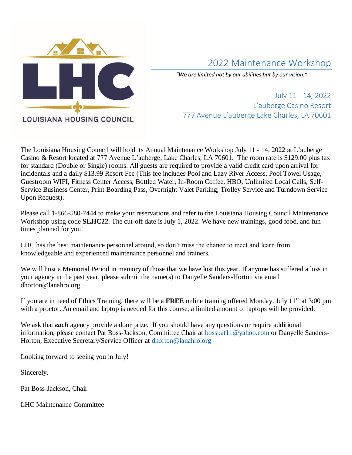

# 2022 Maintenance Workshop

*"We are limited not by our abilities but by our vision."*

July 11 - 14, 2022 L'auberge Casino Resort 777 Avenue L'auberge Lake Charles, LA 70601

The Louisiana Housing Council will hold its Annual Maintenance Workshop July 11 - 14, 2022 at L'auberge Casino & Resort located at 777 Avenue L'auberge, Lake Charles, LA 70601. The room rate is \$129.00 plus tax for standard (Double or Single) rooms. All guests are required to provide a valid credit card upon arrival for incidentals and a daily \$13.99 Resort Fee (This fee includes Pool and Lazy River Access, Pool Towel Usage, Guestroom WIFI, Fitness Center Access, Bottled Water, In-Room Coffee, HBO, Unlimited Local Calls, Self-Service Business Center, Print Boarding Pass, Overnight Valet Parking, Trolley Service and Turndown Service Upon Request).

Please call 1-866-580-7444 to make your reservations and refer to the Louisiana Housing Council Maintenance Workshop using code **SLHC22**. The cut-off date is July 1, 2022. We have new trainings, good food, and fun times planned for you!

LHC has the best maintenance personnel around, so don't miss the chance to meet and learn from knowledgeable and experienced maintenance personnel and trainers.

We will host a Memorial Period in memory of those that we have lost this year. If anyone has suffered a loss in your agency in the past year, please submit the name(s) to Danyelle Sanders-Horton via email dhorton@lanahro.org.

If you are in need of Ethics Training, there will be a FREE online training offered Monday, July 11<sup>th</sup> at 3:00 pm with a proctor. An email and laptop is needed for this course, a limited amount of laptops will be provided.

We ask that *each* agency provide a door prize. If you should have any questions or require additional information, please contact Pat Boss-Jackson, Committee Chair at [bosspat11@yahoo.com](mailto:bosspat11@yahoo.com) or Danyelle SandersHorton, Executive Secretary/Service Officer at [dhorton@lanahro.org](mailto:dhorton@lanahro.org)

Looking forward to seeing you in July!

Sincerely,

Pat Boss-Jackson, Chair

LHC Maintenance Committee